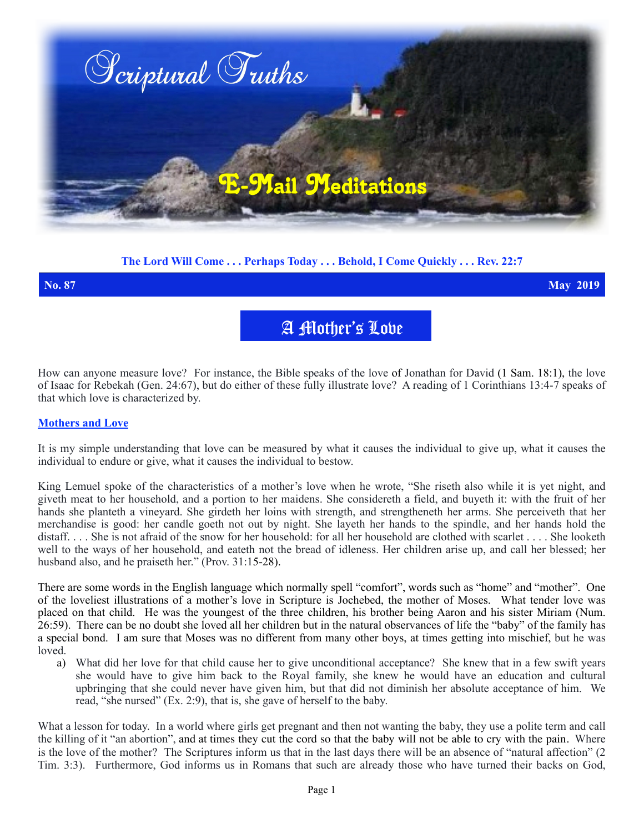

## **The Lord Will Come . . . Perhaps Today . . . Behold, I Come Quickly . . . Rev. 22:7**

**No. 87 May 2019**

A Mother's Love

How can anyone measure love? For instance, the Bible speaks of the love of Jonathan for David (1 Sam. 18:1), the love of Isaac for Rebekah (Gen. 24:67), but do either of these fully illustrate love? A reading of 1 Corinthians 13:4-7 speaks of that which love is characterized by.

## **Mothers and Love**

It is my simple understanding that love can be measured by what it causes the individual to give up, what it causes the individual to endure or give, what it causes the individual to bestow.

King Lemuel spoke of the characteristics of a mother's love when he wrote, "She riseth also while it is yet night, and giveth meat to her household, and a portion to her maidens. She considereth a field, and buyeth it: with the fruit of her hands she planteth a vineyard. She girdeth her loins with strength, and strengtheneth her arms. She perceiveth that her merchandise is good: her candle goeth not out by night. She layeth her hands to the spindle, and her hands hold the distaff. . . . She is not afraid of the snow for her household: for all her household are clothed with scarlet . . . . She looketh well to the ways of her household, and eateth not the bread of idleness. Her children arise up, and call her blessed; her husband also, and he praiseth her." (Prov. 31:15-28).

There are some words in the English language which normally spell "comfort", words such as "home" and "mother". One of the loveliest illustrations of a mother's love in Scripture is Jochebed, the mother of Moses. What tender love was placed on that child. He was the youngest of the three children, his brother being Aaron and his sister Miriam (Num. 26:59). There can be no doubt she loved all her children but in the natural observances of life the "baby" of the family has a special bond. I am sure that Moses was no different from many other boys, at times getting into mischief, but he was loved.

a) What did her love for that child cause her to give unconditional acceptance? She knew that in a few swift years she would have to give him back to the Royal family, she knew he would have an education and cultural upbringing that she could never have given him, but that did not diminish her absolute acceptance of him. We read, "she nursed" (Ex. 2:9), that is, she gave of herself to the baby.

What a lesson for today. In a world where girls get pregnant and then not wanting the baby, they use a polite term and call the killing of it "an abortion", and at times they cut the cord so that the baby will not be able to cry with the pain. Where is the love of the mother? The Scriptures inform us that in the last days there will be an absence of "natural affection" (2 Tim. 3:3). Furthermore, God informs us in Romans that such are already those who have turned their backs on God,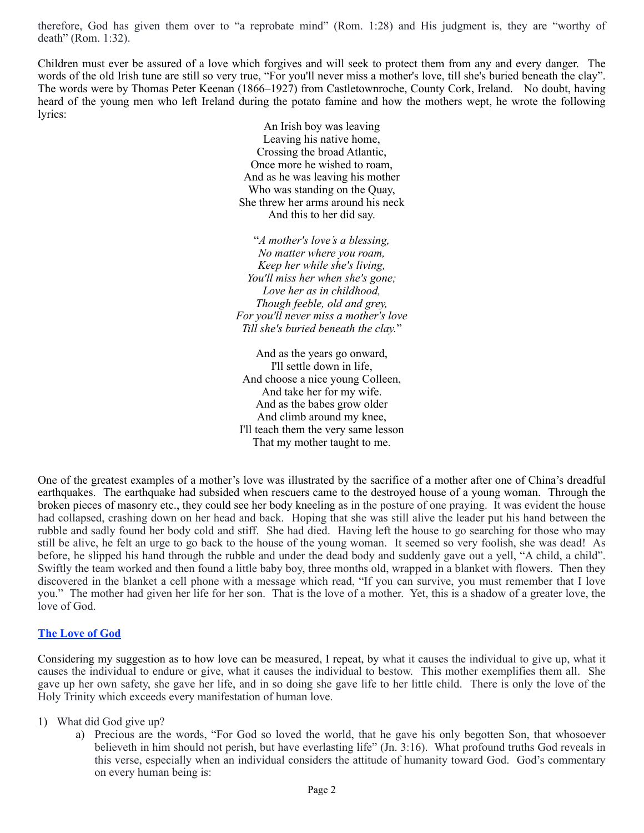therefore, God has given them over to "a reprobate mind" (Rom. 1:28) and His judgment is, they are "worthy of death" (Rom. 1:32).

Children must ever be assured of a love which forgives and will seek to protect them from any and every danger. The words of the old Irish tune are still so very true, "For you'll never miss a mother's love, till she's buried beneath the clay". The words were by Thomas Peter Keenan (1866–1927) from Castletownroche, County Cork, Ireland. No doubt, having heard of the young men who left Ireland during the potato famine and how the mothers wept, he wrote the following lyrics:

> An Irish boy was leaving Leaving his native home, Crossing the broad Atlantic, Once more he wished to roam, And as he was leaving his mother Who was standing on the Quay, She threw her arms around his neck And this to her did say.

"*A mother's love's a blessing, No matter where you roam, Keep her while she's living, You'll miss her when she's gone; Love her as in childhood, Though feeble, old and grey, For you'll never miss a mother's love Till she's buried beneath the clay.*"

And as the years go onward, I'll settle down in life, And choose a nice young Colleen, And take her for my wife. And as the babes grow older And climb around my knee, I'll teach them the very same lesson That my mother taught to me.

One of the greatest examples of a mother's love was illustrated by the sacrifice of a mother after one of China's dreadful earthquakes. The earthquake had subsided when rescuers came to the destroyed house of a young woman. Through the broken pieces of masonry etc., they could see her body kneeling as in the posture of one praying. It was evident the house had collapsed, crashing down on her head and back. Hoping that she was still alive the leader put his hand between the rubble and sadly found her body cold and stiff. She had died. Having left the house to go searching for those who may still be alive, he felt an urge to go back to the house of the young woman. It seemed so very foolish, she was dead! As before, he slipped his hand through the rubble and under the dead body and suddenly gave out a yell, "A child, a child". Swiftly the team worked and then found a little baby boy, three months old, wrapped in a blanket with flowers. Then they discovered in the blanket a cell phone with a message which read, "If you can survive, you must remember that I love you." The mother had given her life for her son. That is the love of a mother. Yet, this is a shadow of a greater love, the love of God.

## **The Love of God**

Considering my suggestion as to how love can be measured, I repeat, by what it causes the individual to give up, what it causes the individual to endure or give, what it causes the individual to bestow. This mother exemplifies them all. She gave up her own safety, she gave her life, and in so doing she gave life to her little child. There is only the love of the Holy Trinity which exceeds every manifestation of human love.

- 1) What did God give up?
	- a) Precious are the words, "For God so loved the world, that he gave his only begotten Son, that whosoever believeth in him should not perish, but have everlasting life" (Jn. 3:16). What profound truths God reveals in this verse, especially when an individual considers the attitude of humanity toward God. God's commentary on every human being is: